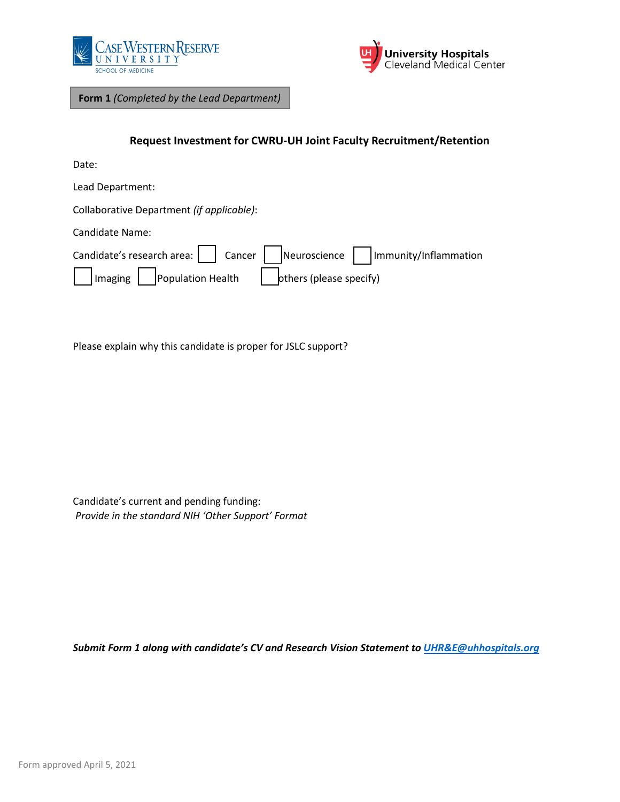



**Form 1** *(Completed by the Lead Department)*

## **Request Investment for CWRU-UH Joint Faculty Recruitment/Retention**

Date:

Lead Department:

Collaborative Department *(if applicable)*:

Candidate Name:

|                             |                         | Candidate's research area:     Cancer     Neuroscience     Immunity/Inflammation |
|-----------------------------|-------------------------|----------------------------------------------------------------------------------|
| Imaging   Population Health | others (please specify) |                                                                                  |

Please explain why this candidate is proper for JSLC support?

Candidate's current and pending funding: *Provide in the standard NIH 'Other Support' Format*

*Submit Form 1 along with candidate's CV and Research Vision Statement to [UHR&E@uhhospitals.org](mailto:UHR&E@uhhospitals.org)*